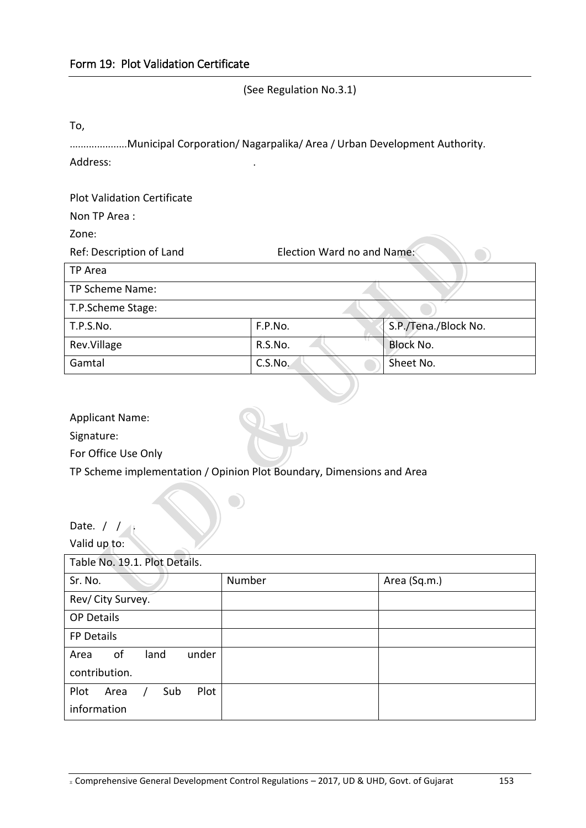(See Regulation No.3.1)

To,

|          | Municipal Corporation/ Nagarpalika/ Area / Urban Development Authority. |
|----------|-------------------------------------------------------------------------|
| Address: |                                                                         |

Plot Validation Certificate

Non TP Area :

Zone:

| Ref: Description of Land | Election Ward no and Name: |                      |
|--------------------------|----------------------------|----------------------|
| TP Area                  |                            |                      |
| TP Scheme Name:          |                            |                      |
| T.P.Scheme Stage:        |                            |                      |
| T.P.S.No.                | F.P.No.                    | S.P./Tena./Block No. |
| Rev.Village              | R.S.No.                    | <b>Block No.</b>     |
| Gamtal                   | C.S.No.                    | Sheet No.            |

Applicant Name:

Signature:

For Office Use Only

TP Scheme implementation / Opinion Plot Boundary, Dimensions and Area

| Date. /                                      |        |              |  |  |  |
|----------------------------------------------|--------|--------------|--|--|--|
| Valid up to:                                 |        |              |  |  |  |
| Table No. 19.1. Plot Details.                |        |              |  |  |  |
| Sr. No.                                      | Number | Area (Sq.m.) |  |  |  |
| Rev/ City Survey.                            |        |              |  |  |  |
| <b>OP Details</b>                            |        |              |  |  |  |
| FP Details                                   |        |              |  |  |  |
| of<br>under<br>land<br>Area<br>contribution. |        |              |  |  |  |
| Plot<br>Plot<br>Sub<br>Area<br>information   |        |              |  |  |  |